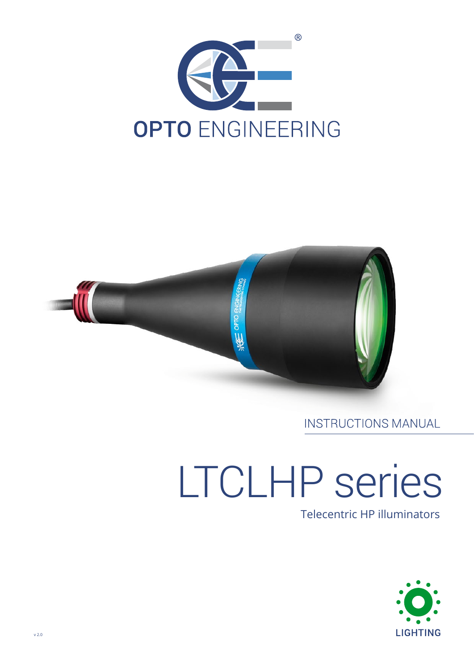



# **INSTRUCTIONS MANUAL**

# LTCLHP series

# Telecentric HP illuminators

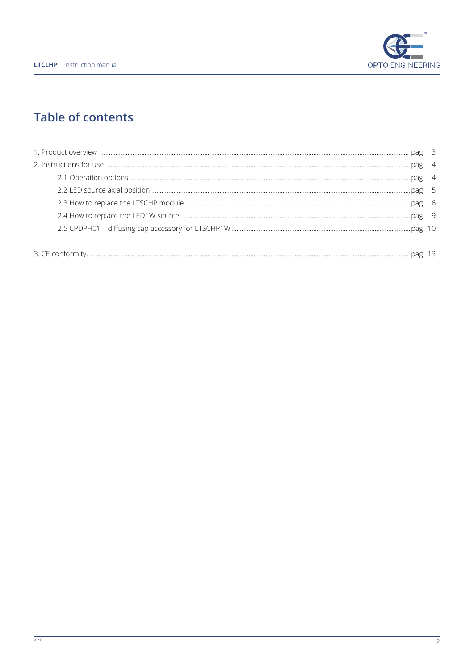

# **Table of contents**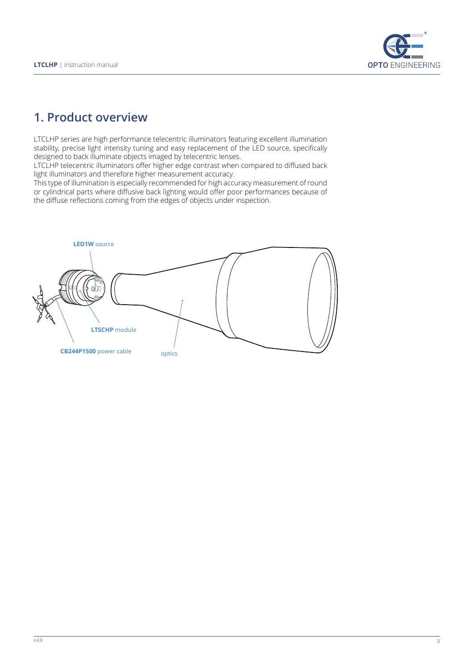

# **1. Product overview**

LTCLHP series are high performance telecentric illuminators featuring excellent illumination stability, precise light intensity tuning and easy replacement of the LED source, specifically designed to back illuminate objects imaged by telecentric lenses.

LTCLHP telecentric illuminators offer higher edge contrast when compared to diffused back light illuminators and therefore higher measurement accuracy.

This type of illumination is especially recommended for high accuracy measurement of round or cylindrical parts where diffusive back lighting would offer poor performances because of the diffuse reflections coming from the edges of objects under inspection.

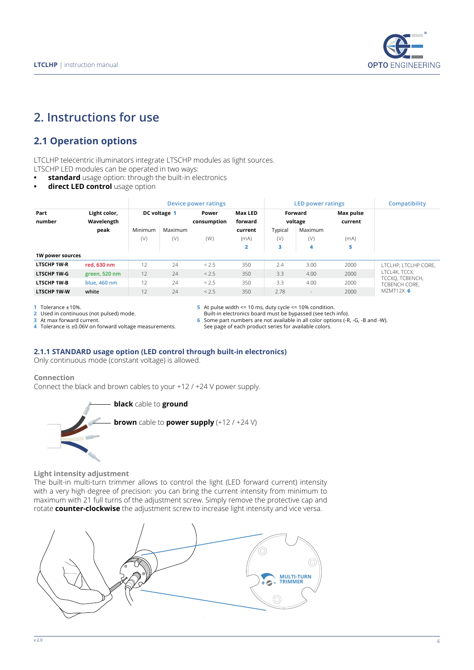

# **2. Instructions for use**

# **2.1 Operation options**

LTCLHP telecentric illuminators integrate LTSCHP modules as light sources.

LTSCHP LED modules can be operated in two ways:

- **• standard** usage option: through the built-in electronics
- **• direct LED control** usage option

|                    | Light color,<br>Wavelength<br>peak | Device power ratings |         |                      |                           |                    | <b>LED power ratings</b> | Compatibility        |                                                                                        |
|--------------------|------------------------------------|----------------------|---------|----------------------|---------------------------|--------------------|--------------------------|----------------------|----------------------------------------------------------------------------------------|
| Part<br>number     |                                    | DC voltage 1         |         | Power<br>consumption | <b>Max LED</b><br>forward | Forward<br>voltage |                          | Max pulse<br>current |                                                                                        |
|                    |                                    | Minimum              | Maximum |                      | current                   | Typical            | Maximum                  |                      |                                                                                        |
|                    |                                    | (V)                  | (V)     | (W)                  | (mA)                      | (V)                | (V)                      | (mA)                 |                                                                                        |
|                    |                                    |                      |         |                      | 2                         | з                  | 4                        | 5                    |                                                                                        |
| 1W power sources   |                                    |                      |         |                      |                           |                    |                          |                      |                                                                                        |
| <b>LTSCHP 1W-R</b> | red. 630 nm                        | 12                   | 24      | < 2.5                | 350                       | 2.4                | 3.00                     | 2000                 | LTCLHP. LTCLHP CORE.<br>LTCL4K, TCCX,<br>TCCXO, TCBENCH,<br>TCBENCH CORE.<br>MZMT12X 6 |
| <b>LTSCHP 1W-G</b> | green, 520 nm                      | 12                   | 24      | < 2.5                | 350                       | 3.3                | 4.00                     | 2000                 |                                                                                        |
| <b>LTSCHP 1W-B</b> | blue, 460 nm                       | 12                   | 24      | < 2.5                | 350                       | 3.3                | 4.00                     | 2000                 |                                                                                        |
| <b>LTSCHP 1W-W</b> | white                              | 12                   | 24      | < 2.5                | 350                       | 2.78               | $\overline{\phantom{a}}$ | 2000                 |                                                                                        |

**1** Tolerance ±10%.

**2** Used in continuous (not pulsed) mode.

**3** At max forward current.

**4** Tolerance is ±0.06V on forward voltage measurements.

**5** At pulse width <= 10 ms, duty cycle <= 10% condition. Built-in electronics board must be bypassed (see tech info).

**6** Some part numbers are not available in all color options (-R, -G, -B and -W).

See page of each product series for available colors.

#### **2.1.1 STANDARD usage option (LED control through built-in electronics)**

Only continuous mode (constant voltage) is allowed.

#### **Connection**

Connect the black and brown cables to your +12 / +24 V power supply.



**Light intensity adjustment**

The built-in multi-turn trimmer allows to control the light (LED forward current) intensity with a very high degree of precision: you can bring the current intensity from minimum to maximum with 21 full turns of the adjustment screw. Simply remove the protective cap and rotate **counter-clockwise** the adjustment screw to increase light intensity and vice versa.

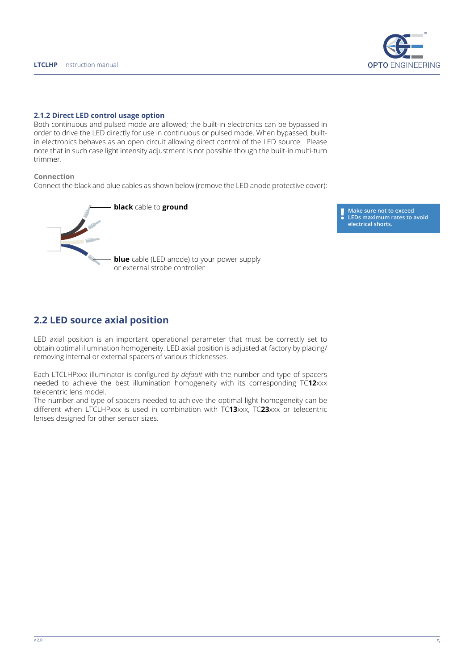

#### **2.1.2 Direct LED control usage option**

Both continuous and pulsed mode are allowed; the built-in electronics can be bypassed in order to drive the LED directly for use in continuous or pulsed mode. When bypassed, builtin electronics behaves as an open circuit allowing direct control of the LED source. Please note that in such case light intensity adjustment is not possible though the built-in multi-turn trimmer.

#### **Connection**

Connect the black and blue cables as shown below (remove the LED anode protective cover):



**Make sure not to exceed LEDs maximum rates to avoid electrical shorts.**

## **2.2 LED source axial position**

LED axial position is an important operational parameter that must be correctly set to obtain optimal illumination homogeneity. LED axial position is adjusted at factory by placing/ removing internal or external spacers of various thicknesses.

Each LTCLHPxxx illuminator is configured *by default* with the number and type of spacers needed to achieve the best illumination homogeneity with its corresponding TC**12**xxx telecentric lens model.

The number and type of spacers needed to achieve the optimal light homogeneity can be different when LTCLHPxxx is used in combination with TC**13**xxx, TC**23**xxx or telecentric lenses designed for other sensor sizes.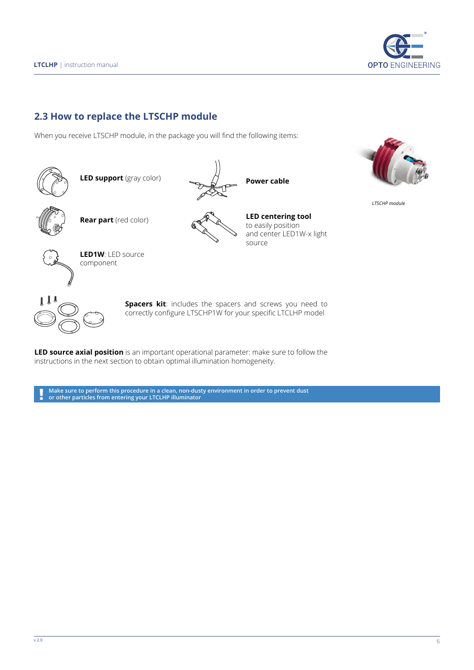

## **2.3 How to replace the LTSCHP module**

When you receive LTSCHP module, in the package you will find the following items:



**Spacers kit**: includes the spacers and screws you need to correctly configure LTSCHP1W for your specific LTCLHP model

**Power cable**

source

**LED centering tool** to easily position

and center LED1W-x light

**LED source axial position** is an important operational parameter: make sure to follow the instructions in the next section to obtain optimal illumination homogeneity.

**Make sure to perform this procedure in a clean, non-dusty environment in order to prevent dust ! or other particles from entering your LTCLHP illuminator**



*LTSCHP module*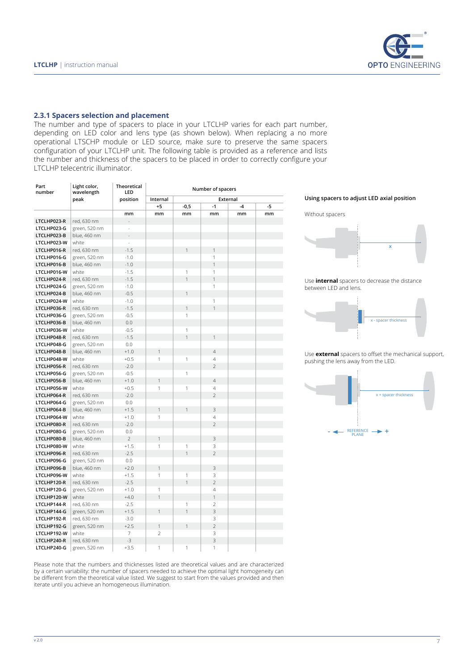

#### **2.3.1 Spacers selection and placement**

The number and type of spacers to place in your LTCLHP varies for each part number, depending on LED color and lens type (as shown below). When replacing a no more operational LTSCHP module or LED source, make sure to preserve the same spacers configuration of your LTCLHP unit. The following table is provided as a reference and lists the number and thickness of the spacers to be placed in order to correctly configure your LTCLHP telecentric illuminator.

| Part<br>number | Light color,<br>wavelength<br>peak | <b>Theoretical</b><br>LED<br>position |                      | Number of spacers | Using spacers to adju   |      |      |                             |
|----------------|------------------------------------|---------------------------------------|----------------------|-------------------|-------------------------|------|------|-----------------------------|
|                |                                    |                                       | External<br>Internal |                   |                         |      |      |                             |
|                |                                    |                                       | $+5$                 | $-0,5$            | $-1$                    | $-4$ | $-5$ |                             |
|                |                                    | mm                                    | mm                   | mm                | mm                      | mm   | mm   | Without spacers             |
| LTCLHP023-R    | red, 630 nm                        |                                       |                      |                   |                         |      |      |                             |
| LTCLHP023-G    | green, 520 nm                      | $\overline{\phantom{a}}$              |                      |                   |                         |      |      |                             |
| LTCLHP023-B    | blue, 460 nm                       | ÷,                                    |                      |                   |                         |      |      |                             |
| LTCLHP023-W    | white                              | L,                                    |                      |                   |                         |      |      |                             |
| LTCLHP016-R    | red, 630 nm                        | $-1.5$                                |                      |                   | 1                       |      |      |                             |
| LTCLHP016-G    | green, 520 nm                      | $-1.0$                                |                      |                   | $\mathbf{1}$            |      |      |                             |
| LTCLHP016-B    | blue, 460 nm                       | $-1.0$                                |                      |                   | $\mathbf{1}$            |      |      |                             |
| LTCLHP016-W    | white                              | $-1.5$                                |                      | $\mathbf{1}$      | $\mathbf{1}$            |      |      |                             |
| LTCLHP024-R    | red, 630 nm                        | $-1.5$                                |                      | $\mathbf{1}$      | $\mathbf{1}$            |      |      | Use <i>internal</i> spacers |
| LTCLHP024-G    | green, 520 nm                      | $-1.0$                                |                      |                   | $\mathbf{1}$            |      |      | between LED and lens.       |
| LTCLHP024-B    | blue, 460 nm                       | $-0.5$                                |                      | 1                 |                         |      |      |                             |
| LTCLHP024-W    | white                              | $-1.0$                                |                      |                   | $\mathbf{1}$            |      |      |                             |
| LTCLHP036-R    | red, 630 nm                        | $-1.5$                                |                      | $\mathbf{1}$      | $\mathbf{1}$            |      |      |                             |
| LTCLHP036-G    | green, 520 nm                      | $-0.5$                                |                      | $\mathbf{1}$      |                         |      |      |                             |
| LTCLHP036-B    | blue, 460 nm                       | 0.0                                   |                      |                   |                         |      |      |                             |
| LTCLHP036-W    | white                              | $-0.5$                                |                      | $\mathbf{1}$      |                         |      |      |                             |
| LTCLHP048-R    | red, 630 nm                        | $-1.5$                                |                      | $\mathbf{1}$      | $\mathbf{1}$            |      |      |                             |
| LTCLHP048-G    | green, 520 nm                      | 0.0                                   |                      |                   |                         |      |      |                             |
| LTCLHP048-B    | blue, 460 nm                       | $+1.0$                                |                      |                   | $\overline{4}$          |      |      |                             |
| LTCLHP048-W    | white                              | $+0.5$                                | $\mathbf{1}$         | $\mathbf{1}$      | $\overline{4}$          |      |      | Use external spacers        |
| LTCLHP056-R    | red, 630 nm                        | $-2.0$                                |                      |                   | $\overline{2}$          |      |      | pushing the lens away       |
| LTCLHP056-G    | green, 520 nm                      | $-0.5$                                |                      | $\mathbf{1}$      |                         |      |      |                             |
| LTCLHP056-B    | blue, 460 nm                       | $+1.0$                                | 1                    |                   | $\overline{4}$          |      |      |                             |
| LTCLHP056-W    | white                              | $+0.5$                                | $\mathbf{1}$         | $\mathbf{1}$      | $\overline{4}$          |      |      |                             |
| LTCLHP064-R    | red, 630 nm                        | $-2.0$                                |                      |                   | $\overline{2}$          |      |      |                             |
| LTCLHP064-G    | green, 520 nm                      | 0.0                                   |                      |                   |                         |      |      |                             |
| LTCLHP064-B    | blue, 460 nm                       | $+1.5$                                | 1                    |                   | 3                       |      |      |                             |
| LTCLHP064-W    | white                              | $+1.0$                                | $\mathbf{1}$         |                   | $\overline{4}$          |      |      |                             |
| LTCLHP080-R    | red, 630 nm                        | $-2.0$                                |                      |                   | $\overline{2}$          |      |      |                             |
| LTCLHP080-G    | green, 520 nm                      | 0.0                                   |                      |                   |                         |      |      | <b>REFERE</b>               |
| LTCLHP080-B    | blue, 460 nm                       | $\overline{2}$                        | $\mathbf{1}$         |                   | 3                       |      |      |                             |
| LTCLHP080-W    | white                              | $+1.5$                                | $\mathbf{1}$         | 1                 | 3                       |      |      |                             |
| LTCLHP096-R    | red, 630 nm                        | $-2.5$                                |                      | $\overline{1}$    | $\overline{2}$          |      |      |                             |
| LTCLHP096-G    | green, 520 nm                      | 0.0                                   |                      |                   |                         |      |      |                             |
| LTCLHP096-B    | blue, 460 nm                       | $+2.0$                                | $\mathbf{1}$         |                   | 3                       |      |      |                             |
| LTCLHP096-W    | white                              | $+1.5$                                | $\mathbf{1}$         | $\mathbf{1}$      | 3                       |      |      |                             |
| LTCLHP120-R    | red, 630 nm                        | $-2.5$                                |                      | $\mathbf{1}$      | $\overline{2}$          |      |      |                             |
| LTCLHP120-G    | green, 520 nm                      | $+1.0$                                | $\mathbf{1}$         |                   | $\overline{4}$          |      |      |                             |
| LTCLHP120-W    | white                              | $+4.0$                                | $\mathbf{1}$         |                   | $\mathbf{1}$            |      |      |                             |
| LTCLHP144-R    | red, 630 nm                        | $-2.5$                                |                      | $\mathbf{1}$      | $\overline{2}$          |      |      |                             |
| LTCLHP144-G    | green, 520 nm                      | $+1.5$                                | $\mathbf{1}$         | $\mathbf{1}$      | $\overline{3}$          |      |      |                             |
| LTCLHP192-R    | red, 630 nm                        | $-3.0$                                |                      |                   | 3                       |      |      |                             |
| LTCLHP192-G    | green, 520 nm                      | $+2.5$                                | $\mathbf{1}$         |                   | $\overline{2}$          |      |      |                             |
| LTCLHP192-W    | white                              | $\overline{7}$                        | $\overline{2}$       |                   | 3                       |      |      |                             |
| LTCLHP240-R    | red, 630 nm                        | $-3$                                  |                      |                   | $\overline{\mathbf{3}}$ |      |      |                             |
| LTCLHP240-G    | green, 520 nm                      | $+3.5$                                | $\mathbf{1}$         | $\mathbf{1}$      | 1                       |      |      |                             |
|                |                                    |                                       |                      |                   |                         |      |      |                             |





to decrease the distance



s to offset the mechanical support, y from the LED.



Please note that the numbers and thicknesses listed are theoretical values and are characterized by a certain variability: the number of spacers needed to achieve the optimal light homogeneity can be different from the theoretical value listed. We suggest to start from the values provided and then iterate until you achieve an homogeneous illumination.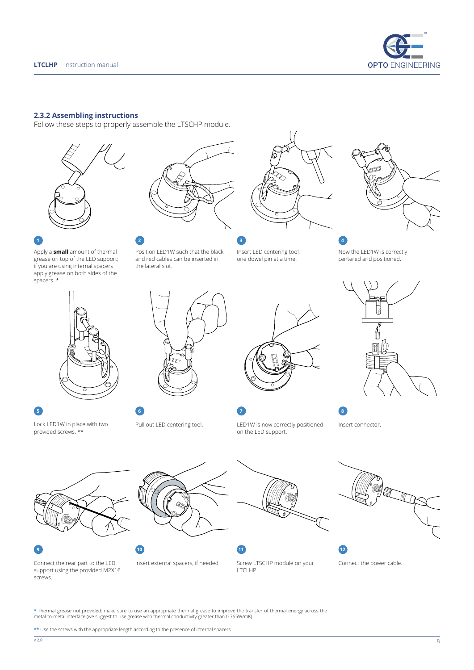

#### **2.3.2 Assembling instructions**

Follow these steps to properly assemble the LTSCHP module.









Apply a **small** amount of thermal grease on top of the LED support; if you are using internal spacers apply grease on both sides of the

spacers. \*



**5 6 7 8**

Lock LED1W in place with two provided screws. \*\*

![](_page_7_Picture_13.jpeg)

Position LED1W such that the black and red cables can be inserted in

the lateral slot.

Pull out LED centering tool.

![](_page_7_Picture_15.jpeg)

![](_page_7_Picture_16.jpeg)

LED1W is now correctly positioned on the LED support.

Now the LED1W is correctly centered and positioned.

![](_page_7_Picture_19.jpeg)

Insert connector.

![](_page_7_Picture_22.jpeg)

Connect the rear part to the LED support using the provided M2X16

screws.

![](_page_7_Picture_26.jpeg)

![](_page_7_Picture_27.jpeg)

**9 10 11 12**

![](_page_7_Picture_29.jpeg)

![](_page_7_Picture_30.jpeg)

![](_page_7_Picture_31.jpeg)

Connect the power cable.

\* Thermal grease not provided: make sure to use an appropriate thermal grease to improve the transfer of thermal energy across the<br>metal-to-metal interface (we suggest to use grease with thermal conductivity greater than 0

**\*\*** Use the screws with the appropriate length according to the presence of internal spacers.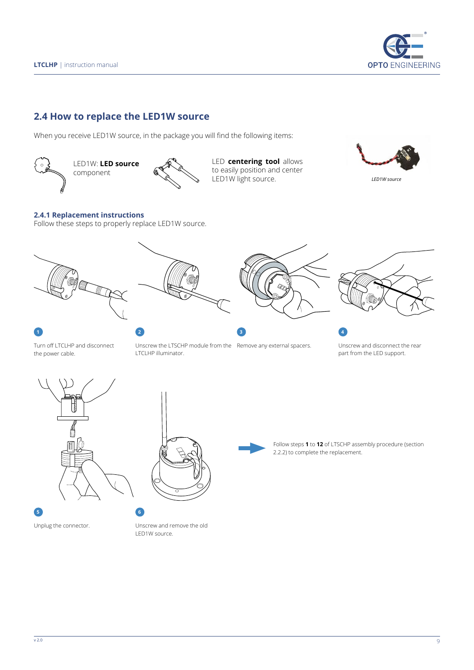![](_page_8_Picture_0.jpeg)

# **2.4 How to replace the LED1W source**

When you receive LED1W source, in the package you will find the following items:

![](_page_8_Picture_4.jpeg)

![](_page_8_Picture_5.jpeg)

LED **centering tool** allows to easily position and center LED1W light source.

![](_page_8_Picture_7.jpeg)

#### **2.4.1 Replacement instructions**

Follow these steps to properly replace LED1W source.

![](_page_8_Picture_10.jpeg)

Turn off LTCLHP and disconnect the power cable.

Unscrew the LTSCHP module from the Remove any external spacers. LTCLHP illuminator.

Unscrew and disconnect the rear part from the LED support.

![](_page_8_Picture_14.jpeg)

![](_page_8_Picture_16.jpeg)

Unplug the connector. Unscrew and remove the old LED1W source.

![](_page_8_Picture_18.jpeg)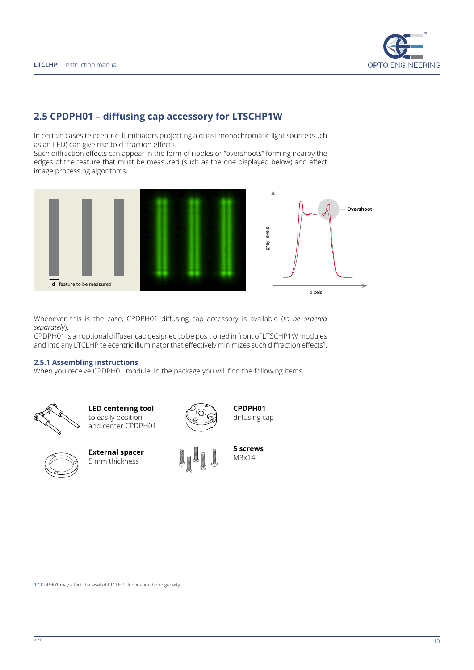![](_page_9_Picture_1.jpeg)

# **2.5 CPDPH01 – diffusing cap accessory for LTSCHP1W**

In certain cases telecentric illuminators projecting a quasi-monochromatic light source (such as an LED) can give rise to diffraction effects.

Such diffraction effects can appear in the form of ripples or "overshoots" forming nearby the edges of the feature that must be measured (such as the one displayed below) and affect image processing algorithms.

![](_page_9_Figure_5.jpeg)

![](_page_9_Figure_6.jpeg)

Whenever this is the case, CPDPH01 diffusing cap accessory is available (*to be ordered separately*).

CPDPH01 is an optional diffuser cap designed to be positioned in front of LTSCHP1W modules and into any LTCLHP telecentric illuminator that effectively minimizes such diffraction effects<sup>1</sup>.

#### **2.5.1 Assembling instructions**

When you receive CPDPH01 module, in the package you will find the following items

![](_page_9_Picture_11.jpeg)

**LED centering tool** to easily position and center CPDPH01

![](_page_9_Picture_13.jpeg)

**External spacer** 5 mm thickness

![](_page_9_Picture_15.jpeg)

**CPDPH01** diffusing cap

![](_page_9_Picture_17.jpeg)

**1** CPDPH01 may affect the level of LTCLHP illumination homogeneity.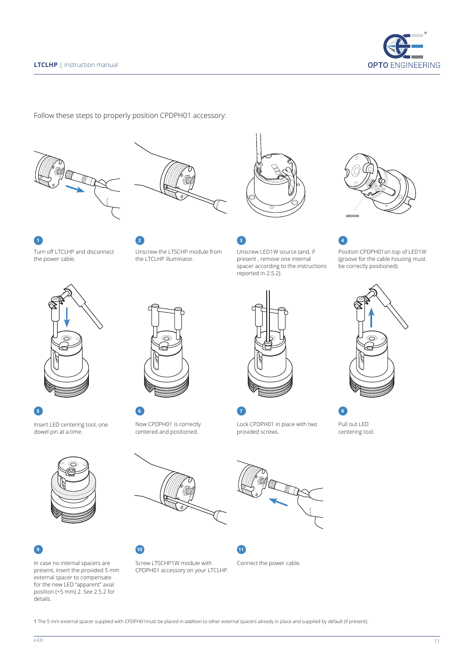![](_page_10_Picture_1.jpeg)

Follow these steps to properly position CPDPH01 accessory:

![](_page_10_Picture_3.jpeg)

![](_page_10_Picture_4.jpeg)

![](_page_10_Picture_5.jpeg)

Turn off LTCLHP and disconnect the power cable.

Unscrew the LTSCHP module from the LTCLHP illuminator.

![](_page_10_Picture_8.jpeg)

Unscrew LED1W source (and, if present , remove one internal spacer according to the instructions reported in 2.5.2).

![](_page_10_Picture_10.jpeg)

Position CPDPH01on top of LED1W (groove for the cable housing must be correctly positioned).

![](_page_10_Picture_13.jpeg)

Insert LED centering tool, one dowel pin at a time.

![](_page_10_Picture_16.jpeg)

In case no internal spacers are present, insert the provided 5 mm external spacer to compensate for the new LED "apparent" axial position (+5 mm) 2. See 2.5.2 for details.

**5 6 7 8**

Now CPDPH01 is correctly centered and positioned.

![](_page_10_Picture_21.jpeg)

Lock CPDPH01 in place with two provided screws.

![](_page_10_Picture_23.jpeg)

![](_page_10_Picture_24.jpeg)

centering tool.

![](_page_10_Picture_26.jpeg)

Screw LTSCHP1W module with CPDPH01 accessory on your LTCLHP. **9 10 11**

![](_page_10_Picture_28.jpeg)

Connect the power cable.

**1** The 5 mm external spacer supplied with CPDPH01must be placed *in addition* to other external spacers already in place and supplied by default (if present).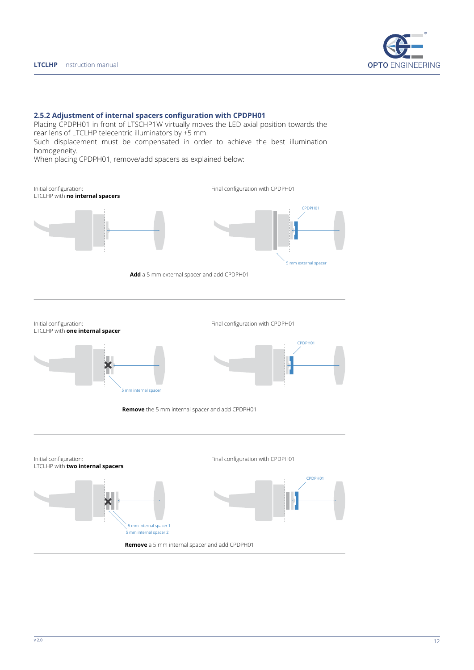![](_page_11_Picture_1.jpeg)

#### **2.5.2 Adjustment of internal spacers configuration with CPDPH01**

Placing CPDPH01 in front of LTSCHP1W virtually moves the LED axial position towards the rear lens of LTCLHP telecentric illuminators by +5 mm. Such displacement must be compensated in order to achieve the best illumination

homogeneity.

When placing CPDPH01, remove/add spacers as explained below:

![](_page_11_Figure_6.jpeg)

Initial configuration: LTCLHP with **one internal spacer**

![](_page_11_Figure_8.jpeg)

![](_page_11_Figure_9.jpeg)

Final configuration with CPDPH01

**Remove** the 5 mm internal spacer and add CPDPH01

![](_page_11_Figure_11.jpeg)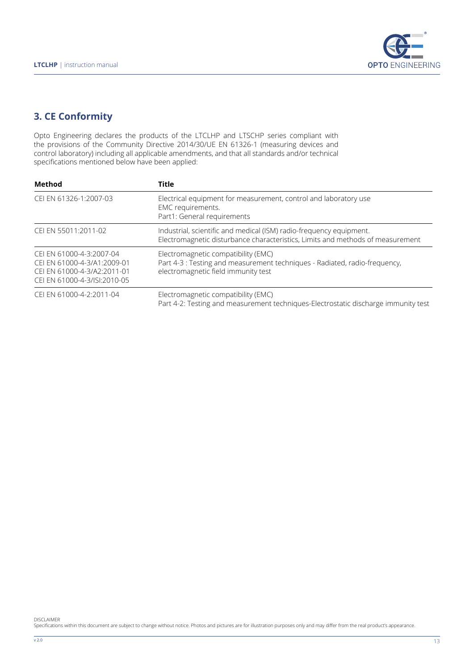![](_page_12_Picture_1.jpeg)

# **3. CE Conformity**

Opto Engineering declares the products of the LTCLHP and LTSCHP series compliant with the provisions of the Community Directive 2014/30/UE EN 61326-1 (measuring devices and control laboratory) including all applicable amendments, and that all standards and/or technical specifications mentioned below have been applied:

| Method                                                                                                                | <b>Title</b>                                                                                                                                             |  |  |  |  |  |
|-----------------------------------------------------------------------------------------------------------------------|----------------------------------------------------------------------------------------------------------------------------------------------------------|--|--|--|--|--|
| CEI EN 61326-1:2007-03                                                                                                | Electrical equipment for measurement, control and laboratory use<br>EMC requirements.<br>Part1: General requirements                                     |  |  |  |  |  |
| CEI EN 55011:2011-02                                                                                                  | Industrial, scientific and medical (ISM) radio-frequency equipment.<br>Electromagnetic disturbance characteristics, Limits and methods of measurement    |  |  |  |  |  |
| CEI EN 61000-4-3:2007-04<br>CEI EN 61000-4-3/A1:2009-01<br>CELEN 61000-4-3/A2:2011-01<br>CEI EN 61000-4-3/ISI:2010-05 | Electromagnetic compatibility (EMC)<br>Part 4-3 : Testing and measurement techniques - Radiated, radio-frequency,<br>electromagnetic field immunity test |  |  |  |  |  |
| CEI EN 61000-4-2:2011-04                                                                                              | Electromagnetic compatibility (EMC)<br>Part 4-2: Testing and measurement techniques-Electrostatic discharge immunity test                                |  |  |  |  |  |

DISCLAIMER<br>Specifications within this document are subject to change without notice. Photos and pictures are for illustration purposes only and may differ from the real product's appearance.